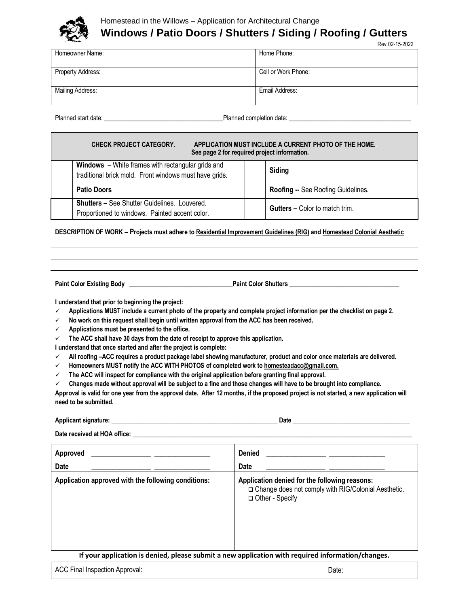

# Homestead in the Willows – Application for Architectural Change **Windows / Patio Doors / Shutters / Siding / Roofing / Gutters**

| Homeowner Name:   | Home Phone:         |
|-------------------|---------------------|
|                   |                     |
| Property Address: | Cell or Work Phone: |
|                   |                     |
|                   |                     |
| Mailing Address:  | Email Address:      |
|                   |                     |
|                   |                     |
|                   |                     |

Planned start date: \_\_\_\_\_\_\_\_\_\_\_\_\_\_\_\_\_\_\_\_\_\_\_\_\_\_\_\_\_\_\_\_\_\_\_\_\_\_Planned completion date: \_\_\_\_\_\_\_\_\_\_\_\_\_\_\_\_\_\_\_\_\_\_\_\_\_\_\_\_\_\_\_\_\_\_\_\_\_\_\_

| <b>CHECK PROJECT CATEGORY.</b><br>APPLICATION MUST INCLUDE A CURRENT PHOTO OF THE HOME.<br>See page 2 for required project information. |                                                                                                                    |  |                                       |
|-----------------------------------------------------------------------------------------------------------------------------------------|--------------------------------------------------------------------------------------------------------------------|--|---------------------------------------|
|                                                                                                                                         | <b>Windows</b> – White frames with rectangular grids and<br>traditional brick mold. Front windows must have grids. |  | Siding                                |
|                                                                                                                                         | <b>Patio Doors</b>                                                                                                 |  | Roofing -- See Roofing Guidelines.    |
|                                                                                                                                         | <b>Shutters - See Shutter Guidelines. Louvered.</b><br>Proportioned to windows. Painted accent color.              |  | <b>Gutters - Color to match trim.</b> |

#### **DESCRIPTION OF WORK – Projects must adhere t[o Residential Improvement Guidelines \(RIG\)](https://www.homesteadinthewillows.org/residential-improvement-guidelines) an[d Homestead Colonial Aesthetic](https://www.homesteadinthewillows.org/homestead-aesthetic)**

**Paint Color Existing Body \_\_\_\_\_\_\_\_\_\_\_\_\_\_\_\_\_\_\_\_\_\_\_\_\_\_\_\_\_\_\_\_\_Paint Color Shutters \_\_\_\_\_\_\_\_\_\_\_\_\_\_\_\_\_\_\_\_\_\_\_\_\_\_\_\_\_\_\_\_\_\_\_**

**I understand that prior to beginning the project:**

- **Applications MUST include a current photo of the property and complete project information per the checklist on page 2.**
- **No work on this request shall begin until written approval from the ACC has been received.**
- **Applications must be presented to the office.**
- **The ACC shall have 30 days from the date of receipt to approve this application.**

**I understand that once started and after the project is complete:**

- **All roofing –ACC requires a product package label showing manufacturer, product and color once materials are delivered.**
- **Homeowners MUST notify the ACC WITH PHOTOS of completed work t[o homesteadacc@gmail.com.](mailto:homesteadacc@gmail.com)**

ACC Final Inspection Approval:  $\Box$  Date:  $\Box$ 

**The ACC will inspect for compliance with the original application before granting final approval.**

**Changes made without approval will be subject to a fine and those changes will have to be brought into compliance.** 

**Approval is valid for one year from the approval date. After 12 months, if the proposed project is not started, a new application will need to be submitted.**

| <b>Applicant signature:</b><br>$\sim$ | Datı |
|---------------------------------------|------|
|---------------------------------------|------|

Date received at HOA office:

| Approved<br><b>Date</b>                                                                           | <b>Denied</b><br><b>Date</b>                                                                                                |  |
|---------------------------------------------------------------------------------------------------|-----------------------------------------------------------------------------------------------------------------------------|--|
| Application approved with the following conditions:                                               | Application denied for the following reasons:<br>□ Change does not comply with RIG/Colonial Aesthetic.<br>□ Other - Specify |  |
| If your application is denied, please submit a new application with required information/changes. |                                                                                                                             |  |